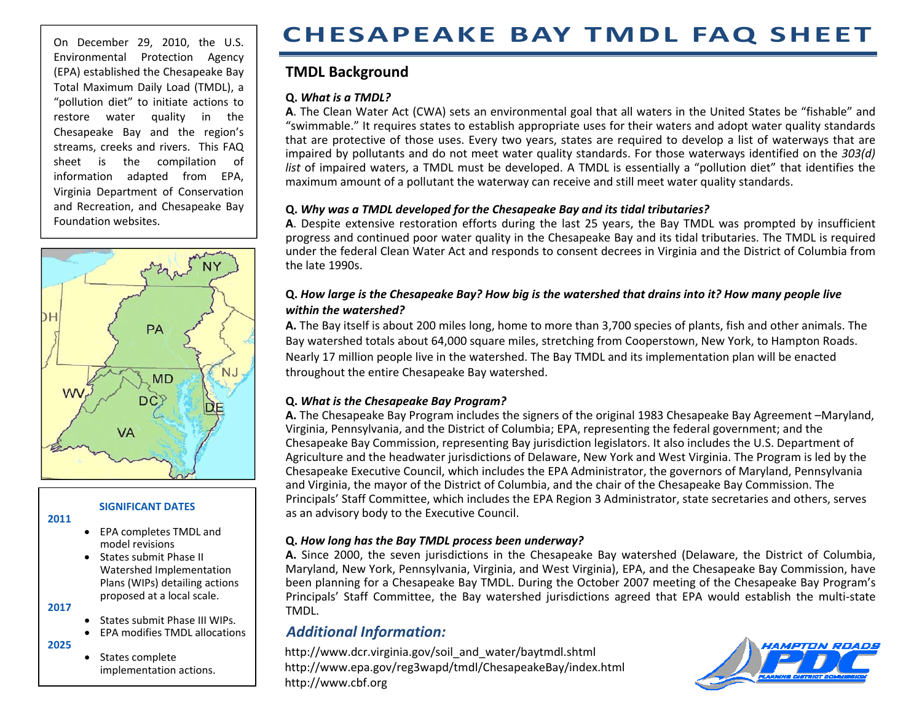#### On December 29, 2010, the U.S. Environmental Protection Agency (EPA) established the Chesapeake Bay Total Maximum Daily Load (TMDL), <sup>a</sup> "pollution diet" to initiate actions to restore water quality in the Chesapeake Bay and the region's streams, creeks and rivers. This FAQ sheet is the compilation of information adapted from EPA, Virginia Department of Conservation and Recreation, and Chesapeake Bay Foundation websites.



#### **SIGNIFICANT DATES**

- **2011**
- EPA completes TMDL and model revisions
- States submit Phase II Watershed Implementation Plans (WIPs) detailing actions proposed at <sup>a</sup> local scale.
- **2017**
- States submit Phase III WIPs.
- EPA modifies TMDL allocations
- **2025**
- States complete implementation actions.

# **CHESAPEAKE BAY TMDL FAQ SHEET**

## **TMDL Background**

#### **Q.** *What is a TMDL?*

**A**. The Clean Water Act (CWA) sets an environmental goal that all waters in the United States be "fishable" and "swimmable." It requires states to establish appropriate uses for their waters and adopt water quality standards that are protective of those uses. Every two years, states are required to develop <sup>a</sup> list of waterways that are impaired by pollutants and do not meet water quality standards. For those waterways identified on the *303(d) list* of impaired waters, <sup>a</sup> TMDL must be developed. A TMDL is essentially <sup>a</sup> "pollution diet" that identifies the maximum amount of <sup>a</sup> pollutant the waterway can receive and still meet water quality standards.

#### **Q.** *Why was a TMDL developed for the Chesapeake Bay and its tidal tributaries?*

**A**. Despite extensive restoration efforts during the last 25 years, the Bay TMDL was prompted by insufficient progress and continued poor water quality in the Chesapeake Bay and its tidal tributaries. The TMDL is required under the federal Clean Water Act and responds to consent decrees in Virginia and the District of Columbia from the late 1990s.

#### Q. How large is the Chesapeake Bay? How big is the watershed that drains into it? How many people live *within the watershed?*

**A.** The Bay itself is about 200 miles long, home to more than 3,700 species of plants, fish and other animals. The Bay watershed totals about 64,000 square miles, stretching from Cooperstown, New York, to Hampton Roads. Nearly 17 million people live in the watershed. The Bay TMDL and its implementation plan will be enacted throughout the entire Chesapeake Bay watershed.

#### **Q.** *What is the Chesapeake Bay Program?*

**A.** The Chesapeake Bay Program includes the signers of the original 1983 Chesapeake Bay Agreement –Maryland, Virginia, Pennsylvania, and the District of Columbia; EPA, representing the federal government; and the Chesapeake Bay Commission, representing Bay jurisdiction legislators. It also includes the U.S. Department of Agriculture and the headwater jurisdictions of Delaware, New York and West Virginia. The Program is led by the Chesapeake Executive Council, which includes the EPA Administrator, the governors of Maryland, Pennsylvania and Virginia, the mayor of the District of Columbia, and the chair of the Chesapeake Bay Commission. The Principals' Staff Committee, which includes the EPA Region 3 Administrator, state secretaries and others, serves as an advisory body to the Executive Council.

## **Q.** *How long has the Bay TMDL process been underway?*

**A.** Since 2000, the seven jurisdictions in the Chesapeake Bay watershed (Delaware, the District of Columbia, Maryland, New York, Pennsylvania, Virginia, and West Virginia), EPA, and the Chesapeake Bay Commission, have been planning for <sup>a</sup> Chesapeake Bay TMDL. During the October 2007 meeting of the Chesapeake Bay Program's Principals' Staff Committee, the Bay watershed jurisdictions agreed that EPA would establish the multi‐state TMDL.

## *Additional Information:*

[http://www.dcr.virginia.gov/soil\\_and\\_water/baytmdl.shtml](http://www.dcr.virginia.gov/soil_and_water/baytmdl.shtml) <http://www.epa.gov/reg3wapd/tmdl/ChesapeakeBay/index.html> http://www.cbf.or g